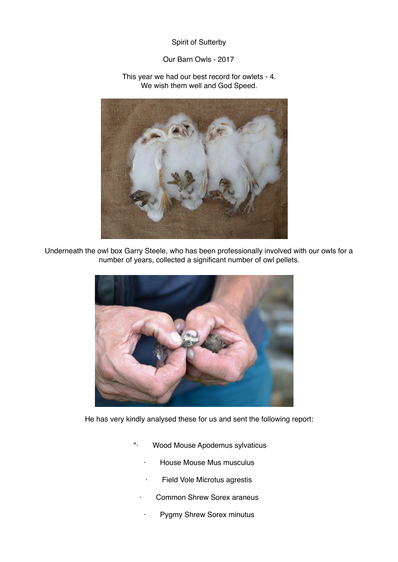## Spirit of Sutterby

## Our Barn Owls - 2017

## This year we had our best record for owlets - 4. We wish them well and God Speed.



Underneath the owl box Garry Steele, who has been professionally involved with our owls for a number of years, collected a significant number of owl pellets.



He has very kindly analysed these for us and sent the following report:

- "· Wood Mouse Apodemus sylvaticus
	- · House Mouse Mus musculus
	- · Field Vole Microtus agrestis
	- Common Shrew Sorex araneus
	- Pygmy Shrew Sorex minutus